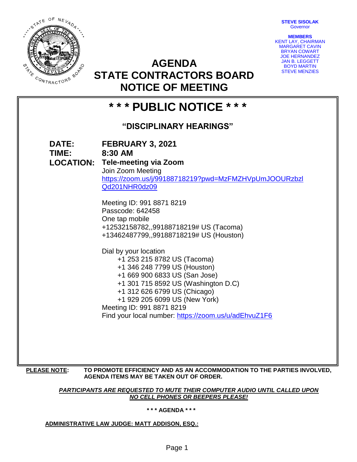**STEVE SISOLAK Governor** 

**MEMBERS** KENT LAY, CHAIRMAN MARGARET CAVIN BRYAN COWART JOE HERNANDEZ JAN B. LEGGETT BOYD MARTIN STEVE MENZIES



**AGENDA STATE CONTRACTORS BOARD NOTICE OF MEETING**

| *** PUBLIC NOTICE ***   |                                                                                                                                                                                                                                                                                                                                                                                                                                                                                                                                                                                                                                                    |
|-------------------------|----------------------------------------------------------------------------------------------------------------------------------------------------------------------------------------------------------------------------------------------------------------------------------------------------------------------------------------------------------------------------------------------------------------------------------------------------------------------------------------------------------------------------------------------------------------------------------------------------------------------------------------------------|
| "DISCIPLINARY HEARINGS" |                                                                                                                                                                                                                                                                                                                                                                                                                                                                                                                                                                                                                                                    |
| <b>DATE:</b><br>TIME:   | FEBRUARY 3, 2021<br>8:30 AM<br><b>LOCATION: Tele-meeting via Zoom</b><br>Join Zoom Meeting<br>https://zoom.us/j/99188718219?pwd=MzFMZHVpUmJOOURzbzl<br>Qd201NHR0dz09<br>Meeting ID: 991 8871 8219<br>Passcode: 642458<br>One tap mobile<br>+12532158782,,99188718219# US (Tacoma)<br>+13462487799,,99188718219# US (Houston)<br>Dial by your location<br>+1 253 215 8782 US (Tacoma)<br>+1 346 248 7799 US (Houston)<br>+1 669 900 6833 US (San Jose)<br>+1 301 715 8592 US (Washington D.C)<br>+1 312 626 6799 US (Chicago)<br>+1 929 205 6099 US (New York)<br>Meeting ID: 991 8871 8219<br>Find your local number: https://zoom.us/u/adEhvuZ1F6 |
| <b>PLEASE NOTE:</b>     | TO PROMOTE EFFICIENCY AND AS AN ACCOMMODATION TO THE PARTIES INVOLVED,<br>AGENDA ITEMS MAY BE TAKEN OUT OF ORDER.                                                                                                                                                                                                                                                                                                                                                                                                                                                                                                                                  |

*PARTICIPANTS ARE REQUESTED TO MUTE THEIR COMPUTER AUDIO UNTIL CALLED UPON NO CELL PHONES OR BEEPERS PLEASE!*

**\* \* \* AGENDA \* \* \***

**ADMINISTRATIVE LAW JUDGE: MATT ADDISON, ESQ.:**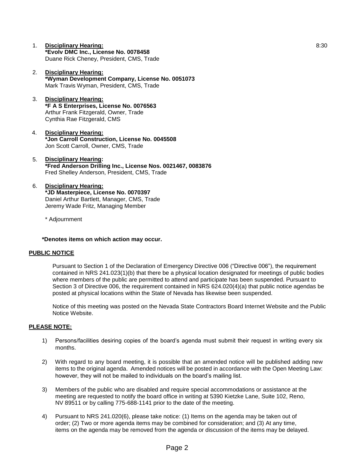- 1. **Disciplinary Hearing: \*Evolv DMC Inc., License No. 0078458** Duane Rick Cheney, President, CMS, Trade
- 2. **Disciplinary Hearing: \*Wyman Development Company, License No. 0051073** Mark Travis Wyman, President, CMS, Trade
- 3. **Disciplinary Hearing: \*F A S Enterprises, License No. 0076563** Arthur Frank Fitzgerald, Owner, Trade Cynthia Rae Fitzgerald, CMS
- 4. **Disciplinary Hearing: \*Jon Carroll Construction, License No. 0045508** Jon Scott Carroll, Owner, CMS, Trade
- 5. **Disciplinary Hearing: \*Fred Anderson Drilling Inc., License Nos. 0021467, 0083876** Fred Shelley Anderson, President, CMS, Trade
- 6. **Disciplinary Hearing: \*JD Masterpiece, License No. 0070397** Daniel Arthur Bartlett, Manager, CMS, Trade Jeremy Wade Fritz, Managing Member

\* Adjournment

## **\*Denotes items on which action may occur.**

## **PUBLIC NOTICE**

Pursuant to Section 1 of the Declaration of Emergency Directive 006 ("Directive 006"), the requirement contained in NRS 241.023(1)(b) that there be a physical location designated for meetings of public bodies where members of the public are permitted to attend and participate has been suspended. Pursuant to Section 3 of Directive 006, the requirement contained in NRS 624.020(4)(a) that public notice agendas be posted at physical locations within the State of Nevada has likewise been suspended.

Notice of this meeting was posted on the Nevada State Contractors Board Internet Website and the Public Notice Website.

## **PLEASE NOTE:**

- 1) Persons/facilities desiring copies of the board's agenda must submit their request in writing every six months.
- 2) With regard to any board meeting, it is possible that an amended notice will be published adding new items to the original agenda. Amended notices will be posted in accordance with the Open Meeting Law: however, they will not be mailed to individuals on the board's mailing list.
- 3) Members of the public who are disabled and require special accommodations or assistance at the meeting are requested to notify the board office in writing at 5390 Kietzke Lane, Suite 102, Reno, NV 89511 or by calling 775-688-1141 prior to the date of the meeting.
- 4) Pursuant to NRS 241.020(6), please take notice: (1) Items on the agenda may be taken out of order; (2) Two or more agenda items may be combined for consideration; and (3) At any time, items on the agenda may be removed from the agenda or discussion of the items may be delayed.